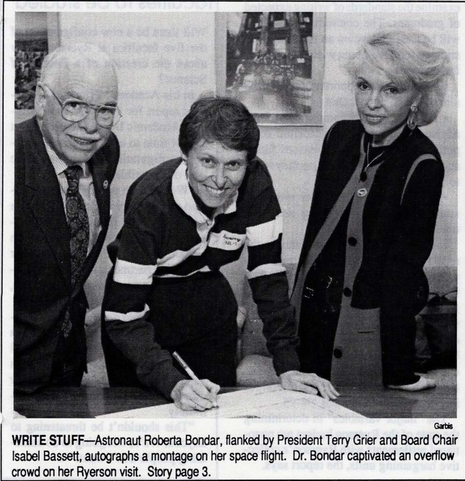

Garbis

**WRITE** STUFF-Astronaut Roberta Bondar, flanked by President Terry Grier and Board Chair Isabel Bassett, autographs a montage on her space flight. Dr. Bondar captivated an overflow crowd on her Ryerson visit. Story page 3.